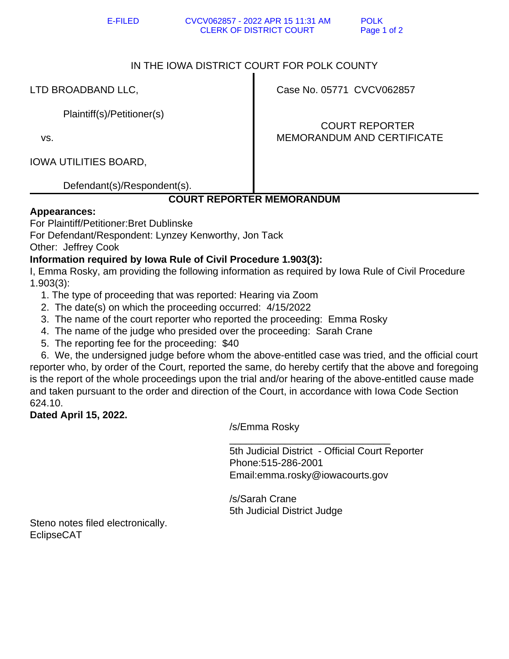E-FILED CVCV062857 - 2022 APR 15 11:31 AM POLK CLERK OF DISTRICT COURT Page 1 of 2

### IN THE IOWA DISTRICT COURT FOR POLK COUNTY

LTD BROADBAND LLC,

Plaintiff(s)/Petitioner(s)

vs.

IOWA UTILITIES BOARD,

Defendant(s)/Respondent(s).

# **COURT REPORTER MEMORANDUM**

#### **Appearances:**

For Plaintiff/Petitioner:Bret Dublinske

For Defendant/Respondent: Lynzey Kenworthy, Jon Tack

Other: Jeffrey Cook

### **Information required by Iowa Rule of Civil Procedure 1.903(3):**

I, Emma Rosky, am providing the following information as required by Iowa Rule of Civil Procedure 1.903(3):

- 1. The type of proceeding that was reported: Hearing via Zoom
- 2. The date(s) on which the proceeding occurred: 4/15/2022
- 3. The name of the court reporter who reported the proceeding: Emma Rosky
- 4. The name of the judge who presided over the proceeding: Sarah Crane
- 5. The reporting fee for the proceeding: \$40

 6. We, the undersigned judge before whom the above-entitled case was tried, and the official court reporter who, by order of the Court, reported the same, do hereby certify that the above and foregoing is the report of the whole proceedings upon the trial and/or hearing of the above-entitled cause made and taken pursuant to the order and direction of the Court, in accordance with Iowa Code Section 624.10.

## **Dated April 15, 2022.**

/s/Emma Rosky

 $\overline{\phantom{a}}$  ,  $\overline{\phantom{a}}$  ,  $\overline{\phantom{a}}$  ,  $\overline{\phantom{a}}$  ,  $\overline{\phantom{a}}$  ,  $\overline{\phantom{a}}$  ,  $\overline{\phantom{a}}$  ,  $\overline{\phantom{a}}$  ,  $\overline{\phantom{a}}$  ,  $\overline{\phantom{a}}$  ,  $\overline{\phantom{a}}$  ,  $\overline{\phantom{a}}$  ,  $\overline{\phantom{a}}$  ,  $\overline{\phantom{a}}$  ,  $\overline{\phantom{a}}$  ,  $\overline{\phantom{a}}$  5th Judicial District - Official Court Reporter Phone:515-286-2001 Email:emma.rosky@iowacourts.gov

> /s/Sarah Crane 5th Judicial District Judge

Steno notes filed electronically. EclipseCAT

Case No. 05771 CVCV062857

 COURT REPORTER MEMORANDUM AND CERTIFICATE